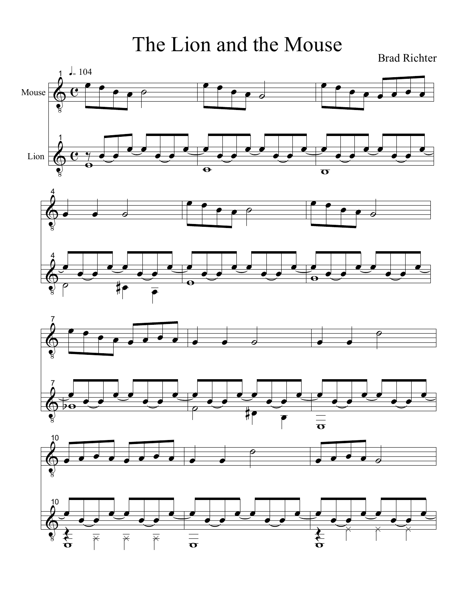The Lion and the Mouse

Brad Richter